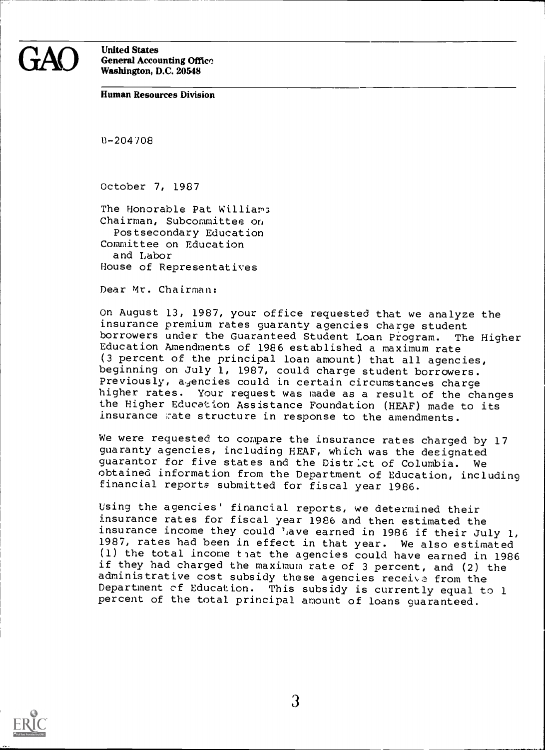## United States General Accounting Office Washington, D.C. 20548

#### Human Resources Division

B-204708

October 7, 1987

The Honorable Pat Williams Chairman, Subcommittee on Postsecondary Education Committee on Education and Labor House of Representatives

Dear Mr. Chairman:

On August 13, 1987, your office requested that we analyze the insurance premium rates guaranty agencies charge student borrowers under the Guaranteed Student Loan Program. The Higher Education Amendments of 1986 established a maximum rate (3 percent of the principal loan amount) that all agencies, beginning on July 1, 1987, could charge student borrowers. Previously, agencies could in certain circumstances charge higher rates. Your request was made as a result of the changes the Higher Education Assistance Foundation (HEAF) made to its insurance wate structure in response to the amendments.

We were requested to compare the insurance rates charged by 17 guaranty agencies, including HEAF, which was the designated guarantor for five states and the District of Columbia. We obtained information from the Department of Education, including financial reports submitted for fiscal year 1986.

Using the agencies' financial reports, we determined their insurance rates for fiscal year 1986 and then estimated the insurance income they could 'ave earned in 1986 if their July 1, 1987, rates had been in effect in that year. We also estimated  $(1)$  the total income that the agencies could have earned in 1986 if they had charged the maximum rate of 3 percent, and (2) the administrative cost subsidy these agencies receive from the Department cf Education. This subsidy is currently equal to 1 percent of the total principal amount of loans guaranteed.

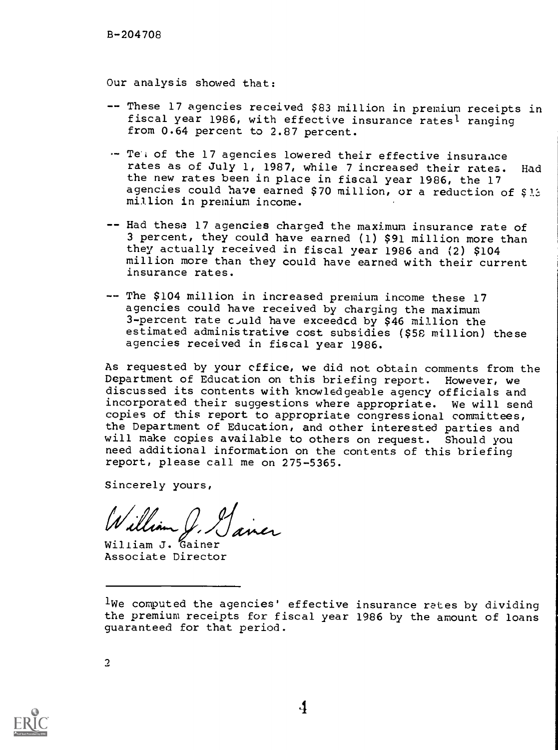Our analysis showed that:

- -- These 17 agencies received \$83 million in premium receipts in fiscal year 1986, with effective insurance rates' ranging from 0.64 percent to 2.87 percent.
- -- Te'i of the 17 agencies lowered their effective insurance rates as of July 1, 1987, while 7 increased their rates. Had the new rates been in place in fiscal year 1986, the 17 agencies could have earned \$70 million, or a reduction of \$1.3 million in premium income.
- -- Had these 17 agencies charged the maximum insurance rate of 3 percent, they could have earned (1) \$91 million more than they actually received in fiscal year 1986 and (2) \$104 million more than they could have earned with their current insurance rates.
- -- The \$104 million in increased premium income these 17 agencies could have received by charging the maximum 3-percent rate could have exceeded by \$46 million the estimated administrative cost subsidies (\$58 million) these agencies received in fiscal year 1986.

As requested by your cffice, we did not obtain comments from the Department of Education on this briefing report. However, we discussed its contents with knowledgeable agency officials and incorporated their suggestions where appropriate. We will send copies of this report to appropriate congressional committees, the Department of Education, and other interested parties and will make copies available to others on request. Should you need additional information on the contents of this briefing report, please call me on 275-5365.

Sincerely yours,

William J. Gainer

William J. Gainer Associate Director

 $\overline{2}$ 

<sup>1</sup>We computed the agencies' effective insurance rates by dividing the premium receipts for fiscal year 1986 by the amount of loans guaranteed for that period.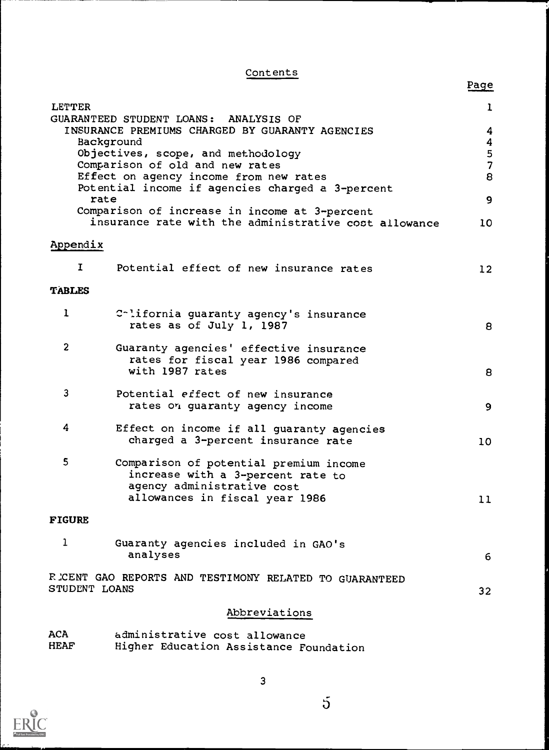## **Contents**

|                |                                                                               | Page          |
|----------------|-------------------------------------------------------------------------------|---------------|
| <b>LETTER</b>  |                                                                               | ı             |
|                | GUARANTEED STUDENT LOANS: ANALYSIS OF                                         |               |
|                | INSURANCE PREMIUMS CHARGED BY GUARANTY AGENCIES<br>Background                 | 4<br>4        |
|                | Objectives, scope, and methodology                                            |               |
|                | Comparison of old and new rates                                               | $\frac{5}{7}$ |
|                | Effect on agency income from new rates                                        | 8             |
| rate           | Potential income if agencies charged a 3-percent                              | 9             |
|                | Comparison of increase in income at 3-percent                                 |               |
|                | insurance rate with the administrative cost allowance                         | 10            |
| Appendix       |                                                                               |               |
| I.             | Potential effect of new insurance rates                                       | 12            |
| <b>TABLES</b>  |                                                                               |               |
| $\mathbf{I}$   | Colifornia guaranty agency's insurance<br>rates as of July 1, 1987            | 8             |
|                |                                                                               |               |
| $\overline{2}$ | Guaranty agencies' effective insurance<br>rates for fiscal year 1986 compared |               |
|                | with 1987 rates                                                               | 8             |
| $\mathbf{3}$   | Potential effect of new insurance                                             |               |
|                | rates on guaranty agency income                                               | 9             |
| 4              | Effect on income if all guaranty agencies                                     |               |
|                | charged a 3-percent insurance rate                                            | 10            |
| 5              | Comparison of potential premium income                                        |               |
|                | increase with a 3-percent rate to                                             |               |
|                | agency administrative cost<br>allowances in fiscal year 1986                  |               |
|                |                                                                               | 11            |
| <b>FIGURE</b>  |                                                                               |               |
| 1              | Guaranty agencies included in GAO's                                           |               |
|                | analyses                                                                      | 6             |
|                | R CENT GAO REPORTS AND TESTIMONY RELATED TO GUARANTEED                        |               |
| STUDENT LOANS  |                                                                               | 32            |
|                | Abbreviations                                                                 |               |
| <b>ACA</b>     | administrative cost allowance                                                 |               |
| <b>HEAF</b>    | Higher Education Assistance Foundation                                        |               |



3

 $\overline{5}$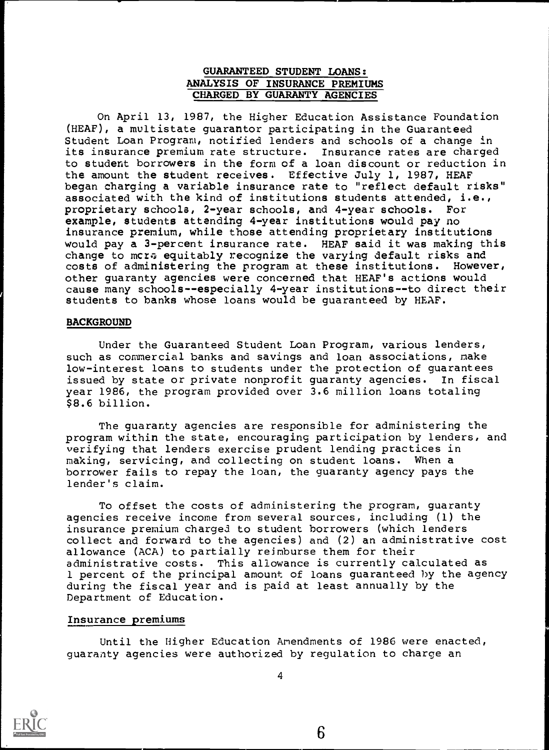## GUARANTEED STUDENT LOANS: ANALYSIS OF INSURANCE PREMIUMS CHARGED BY GUARANTY AGENCIES

On April 13, 1987, the Higher Education Assistance Foundation (HEAF), a multistate guarantor participating in the Guaranteed Student Loan Program, notified lenders and schools of a change in its insurance premium rate structure. Insurance rates are charged to student borrowers in the form of a loan discount or reduction in the amount the student receives. Effective July 1, 1987, HEAF began charging a variable insurance rate to "reflect default risks" associated with the kind of institutions students attended, i.e., proprietary schools, 2-year schools, and 4-year schools. For example, students attending 4-year institutions would pay no insurance premium, while those attending proprietary institutions would pay a 3-percent insurance rate. HEAF said it was making this change to mcre equitably recognize the varying default risks and costs of administering the program at these institutions. However, other guaranty agencies were concerned that HEAF's actions would cause many schools--especially 4-year institutions--to direct their students to banks whose loans would be guaranteed by HEAF.

#### BACKGROUND

Under the Guaranteed Student Loan Program, various lenders, such as commercial banks and savings and loan associations, make low-interest loans to students under the protection of guarantees issued by state or private nonprofit guaranty agencies. In fiscal year 1986, the program provided over 3.6 million loans totaling \$8.6 billion.

The guaranty agencies are responsible for administering the program within the state, encouraging participation by lenders, and verifying that lenders exercise prudent lending practices in making, servicing, and collecting on student loans. When a borrower fails to repay the loan, the guaranty agency pays the lender's claim.

To offset the costs of administering the program, guaranty agencies receive income from several sources, including (1) the insurance premium charged to student borrowers (which lenders collect and forward to the agencies) and (2) an administrative cost allowance (ACA) to partially reimburse them for their administrative costs. This allowance is currently calculated as 1 percent of the principal amount of loans guaranteed by the agency during the fiscal year and is paid at least annually by the Department of Education.

#### Insurance premiums

Until the Higher Education Amendments of 1986 were enacted, guaranty agencies were authorized by regulation to charge an

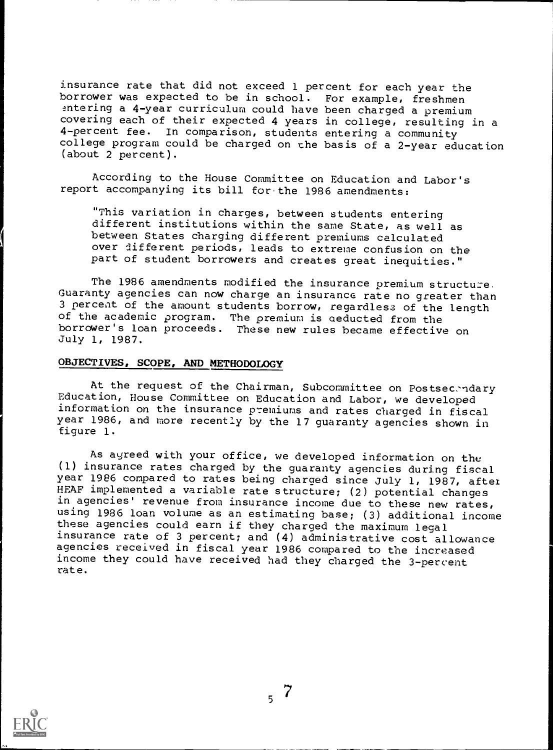insurance rate that did not exceed 1 percent for each year the borrower was expected to be in school. For example, freshmen entering a 4-year curriculum could have been charged a premium covering each of their expected 4 years in college, resulting in a 4-percent fee. In comparison, students entering a community college program could be charged on the basis of a 2-year education (about 2 percent).

According to the House Committee on Education and Labor's report accompanying its bill for.the 1986 amendments:

"This variation in charges, between students entering different institutions within the same State, as well as between States charging different premiums calculated over different periods, leads to extreme confusion on the part of student borrowers and creates great inequities."

The 1986 amendments modified the insurance premium structure. Guaranty agencies can now charge an insurance rate no greater than 3 percent of the amount students borrow, regardless of the length of the academic program. The premium is aeducted from the borrower's loan proceeds. These new rules became effective on July 1, 1987.

#### OBJECTIVES, SCOPE, AND METHODOLOGY

At the request of the Chairman, Subcommittee on Postsecendary Education, House Committee on Education and Labor, we developed information on the insurance p'emiuras and rates charged in fiscal year 1986, and more recently by the 17 guaranty agencies shown in figure 1.

As ayreed with your office, we developed information on the (1) insurance rates charged by the guaranty agencies during fiscal year 1986 compared to rates being charged since July 1, 1987, after HEAF implemented a variable rate structure; (2) potential changes in agencies' revenue from insurance income due to these new rates, using 1986 loan volume as an estimating base; (3) additional income these agencies could earn if they charged the maximum legal insurance rate of 3 percent; and (4) administrative cost allowance agencies received in fiscal year 1986 compared to the increased income they could have received had they charged the 3-percent rate.

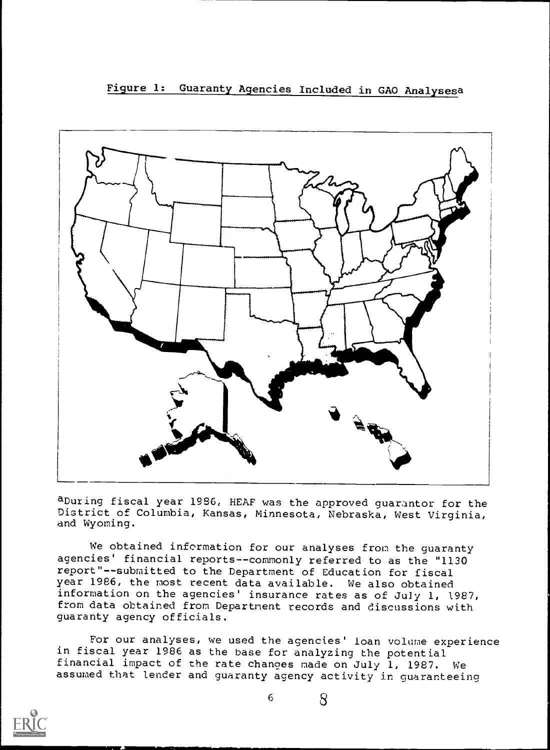Figure 1: Guaranty Agencies Included in GAO Analysesa



aDuring fiscal year 1986, HEAF was the approved guarantor for the District of Columbia, Kansas, Minnesota, Nebraska, West Virginia, and Wyoming.

We obtained information for our analyses from the guaranty agencies' financial reports--commonly referred to as the "1130 report"--submitted to the Department of Education for fiscal year 1986, the most recent data available. We also obtained information on the agencies' insurance rates as of July 1, 1987, from data obtained from Department records and discussions with guaranty agency officials.

For our analyses, we used the agencies' loan volume experience in fiscal year 1986 as the base for analyzing the potential financial impact of the rate changes made on July 1, 1987. We assumed that lender and guaranty agency activity in guaranteeing

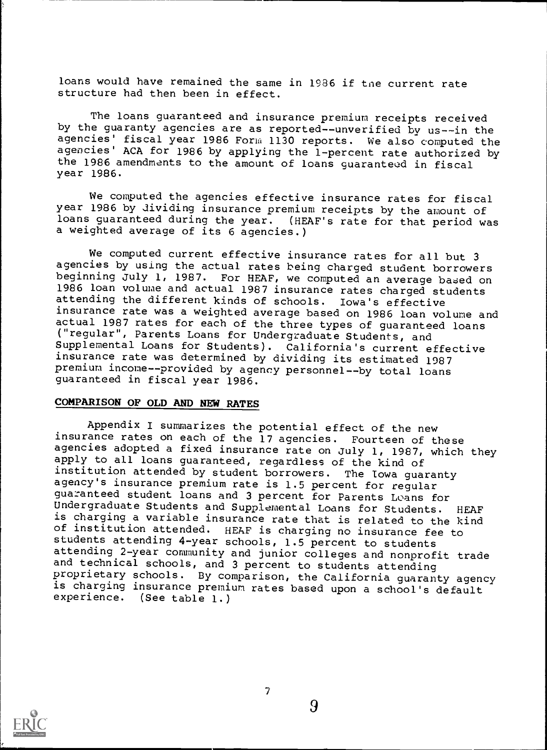loans would have remained the same in 1986 if tne current rate structure had then been in effect.

The loans guaranteed and insurance premium receipts received by the guaranty agencies are as reported--unverified by us--in the agencies' fiscal year 1986 Form 1130 reports. We also computed the agencies' ACA for 1986 by applying the 1-percent rate authorized by the 1986 amendments to the amount of loans guaranteud in fiscal year 1986.

We computed the agencies effective insurance rates for fiscal year 1986 by dividing insurance premium receipts by the amount of loans guaranteed during the year. (HEAF's rate for that period was a weighted average of its 6 agencies.)

We computed current effective insurance rates for all but 3 agencies by using the actual rates being charged student borrowers beginning July 1, 1987. For HEAF, we computed an average based on 1986 loan volume and actual 1987 insurance rates charged students attending the different kinds of schools. Iowa's effective insurance rate was a weighted average based on 1986 loan volume and actual 1987 rates for each of the three types of guaranteed loans ("regular", Parents Loans for Undergraduate Students, and Supplemental Loans for Students). California's current effective insurance rate was determined by dividing its estimated 1987 premium income--provided by agency personnel--by total loans guaranteed in fiscal year 1986.

#### COMPARISON OF OLD AND NEW RATES

Appendix I summarizes the potential effect of the new insurance rates on each of the 17 agencies. Fourteen of these agencies adopted a fixed insurance rate on July 1, 1987, which they apply to all loans guaranteed, regardless of the kind of institution attended by student borrowers. The Iowa guaranty agency's insurance premium rate is 1.5 percent for regular guaranteed student loans and 3 percent for Parents Loans for Undergraduate Students and Supplemental Loans for Students. HEAF is charging a variable insurance rate that is related to the kind of institution attended. HEAF is charging no insurance fee to students attending 4-year schools, 1.5 percent to students attending 2-year community and junior colleges and nonprofit trade and technical schools, and 3 percent to students attending<br>proprietary schools. By comparison, the California guaranty agency is charging insurance premium rates based upon a school's default experience. (See table 1.)

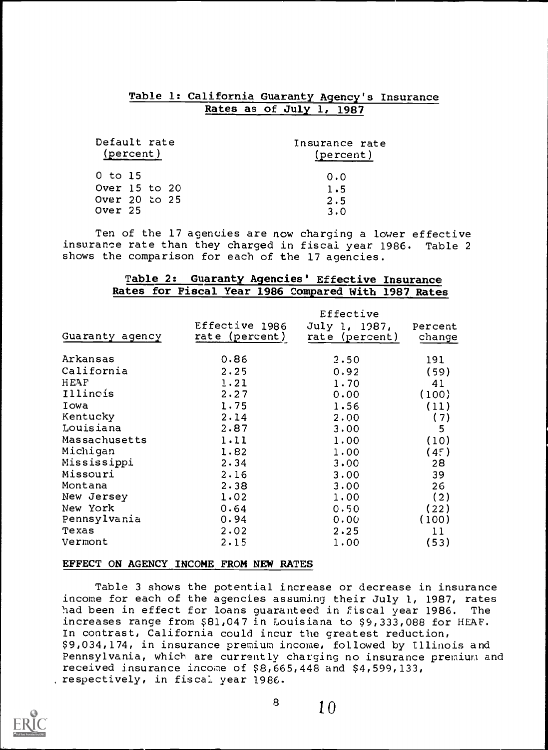## Table 1: California Guaranty Agency's Insurance Rates as of July 1, 1987

| Default rate<br>(percent) | Insurance rate<br>(percent) |
|---------------------------|-----------------------------|
| 0 to 15                   | 0.0                         |
| Over 15 to 20             | 1.5                         |
| Over 20 to 25             | 2.5                         |
| Over 25                   | 3.0                         |

Ten of the 17 agencies are now charging a lower effective insurance rate than they charged in fiscal year 1986. Table 2 shows the comparison for each of the 17 agencies.

## Table 2: Guaranty Agencies' Effective Insurance Rates for Fiscal Year 1986 Compared With 1987 Rates

|                 |                                  | Effective                       |                   |
|-----------------|----------------------------------|---------------------------------|-------------------|
| Guaranty agency | Effective 1986<br>rate (percent) | July 1, 1987,<br>rate (percent) | Percent<br>change |
| Arkansas        | 0.86                             | 2.50                            | 191               |
| California      | $2 \cdot 25$                     | 0.92                            | (59)              |
| HEAF            | 1.21                             | 1.70                            | 41                |
| Illinois        | 2.27                             | 0.00                            | (100)             |
| Iowa            | 1.75                             | 1.56                            | (11)              |
| Kentucky        | 2.14                             | 2.00                            | (7)               |
| Louisiana       | 2.87                             | 3.00                            | 5                 |
| Massachusetts   | 1.11                             | 1.00                            | (10)              |
| Michigan        | 1.82                             | 1.00                            | (45)              |
| Mississippi     | 2.34                             | 3.00                            | 28                |
| Missouri        | 2.16                             | 3.00                            | 39                |
| Montana         | 2.38                             | 3.00                            | 26                |
| New Jersey      | 1.02                             | 1.00                            | (2)               |
| New York        | 0.64                             | 0.50                            | (22)              |
| Pennsylvania    | 0.94                             | 0.00                            | (100)             |
| Texas           | 2.02                             | $2 \cdot 25$                    | 11                |
| Vermont         | 2.15                             | 1,00                            | (53)              |

#### EFFECT ON AGENCY INCOME FROM NEW RATES

Table 3 shows the potential increase or decrease in insurance income for each of the agencies assuming their July 1, 1987, rates had been in effect for loans guaranteed in fiscal year 1986. The increases range from \$81,047 in Louisiana to \$9,333,088 for HEAP. In contrast, California could incur the greatest reduction, \$9,034,174, in insurance premium income, followed by Illinois and Pennsylvania, which are currently charging no insurance premium and received insurance income of \$8,665,448 and \$4,599,133, respectively, in fiscal year 1986.

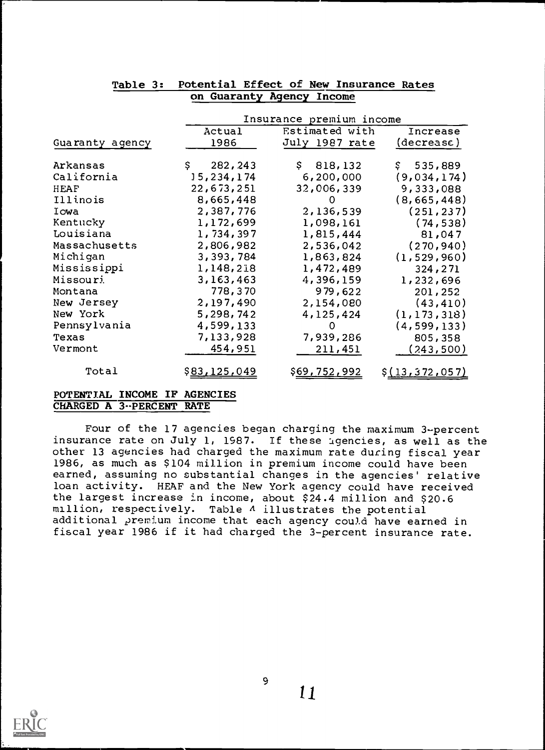| Insurance premium income |                      |                     |                        |
|--------------------------|----------------------|---------------------|------------------------|
|                          | Actual               | Estimated with      | Increase               |
| Guaranty agency          | 1986                 | July 1987 rate      | (decrease)             |
| Arkansas                 | \$.<br>282, 243      | \$818,132           | \$535,889              |
| California               | 15,234,174           | 6,200,000           | (9,034,174)            |
| HEAF                     | 22,673,251           | 32,006,339          | 9,333,088              |
| Illinois                 | 8,665,448            | 0                   | (8,665,448)            |
| Iowa                     | 2,387,776            | 2,136,539           | (251, 237)             |
| Kentucky                 | 1,172,699            | 1,098,161           | (74, 538)              |
| Louisiana                | 1,734,397            | 1,815,444           | 81,047                 |
| Massachusetts            | 2,806,982            | 2,536,042           | (270, 940)             |
| Michigan                 | 3,393,784            | 1,863,824           | (1, 529, 960)          |
| Mississippi              | 1,148,218            | 1,472,489           | 324,271                |
| Missouri                 | 3,163,463            | 4,396,159           | 1,232,696              |
| Montana                  | 778,370              | 979,622             | 201,252                |
| New Jersey               | 2,197,490            | 2,154,080           | (43, 410)              |
| New York                 | 5,298,742            | 4,125,424           | (1, 173, 318)          |
| Pennsylvania             | 4,599,133            | 0                   | (4, 599, 133)          |
| Texas                    | 7,133,928            | 7,939,286           | 805,358                |
| Vermont                  | 454,951              | 211,451             | (243,500)              |
|                          |                      |                     |                        |
| Total                    | \$ <u>83,125,049</u> | <u>\$69,752,992</u> | \$ <u>(13,372,057)</u> |

## Table 3: Potential Effect of New Insurance Rates on Guaranty Agency Income

## POTENTIAL INCOME IF AGENCIES CHARGED A 3--PERCENT RATE

Four of the 17 agencies began charging the maximum 3-percent insurance rate on July 1, 1987. If these agencies, as well as the other 13 agencies had charged the maximum rate during fiscal year 1986, as much as \$104 million in premium income could have been earned, assuming no substantial changes in the agencies' relative loan activity. HEAF and the New York agency could have received the largest increase in income, about \$24.4 million and \$20.6 million, respectively. Table  $\Lambda$  illustrates the potential additional premium income that each agency could have earned in fiscal year 1986 if it had charged the 3-percent insurance rate.

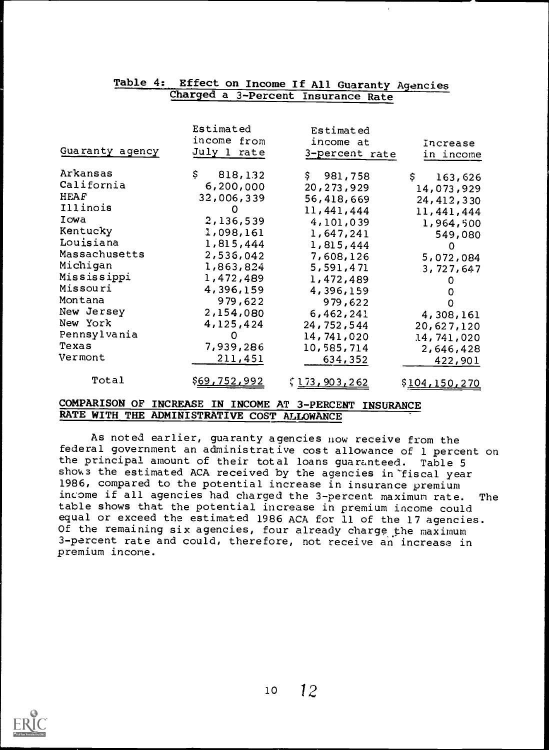|                 | Charged a 3-Percent Insurance Rate |                       |               |
|-----------------|------------------------------------|-----------------------|---------------|
|                 |                                    |                       |               |
|                 | Estimated                          | Estimated             |               |
|                 | income from                        | income at             | Increase      |
| Guaranty agency | July 1 rate                        | 3-percent rate        | in income     |
|                 |                                    |                       |               |
| Arkansas        | Ş.<br>818, 132                     | \$981,758             | \$<br>163,626 |
| California      | 6,200,000                          | 20, 273, 929          | 14,073,929    |
| HEAF            | 32,006,339                         | 56,418,669            | 24, 412, 330  |
| Illinois        | O                                  | 11, 441, 444          | 11, 441, 444  |
| Iowa            | 2,136,539                          | 4,101,039             | 1,964,500     |
| Kentucky        | 1,098,161                          | 1,647,241             | 549,080       |
| Louisiana       | 1,815,444                          | 1,815,444             | $\Omega$      |
| Massachusetts   | 2,536,042                          | 7,608,126             | 5,072,084     |
| Michigan        | 1,863,824                          | 5,591,471             | 3,727,647     |
| Mississippi     | 1,472,489                          | 1,472,489             |               |
| Missouri        | 4,396,159                          | 4,396,159             |               |
| Montana         | 979,622                            | 979,622               | Ω             |
| New Jersey      | 2,154,080                          | 6,462,241             | 4,308,161     |
| New York        | 4,125,424                          | 24,752,544            | 20,627,120    |
| Pennsylvania    |                                    | 14,741,020            | 14,741,020    |
| Texas           | 7,939,286                          | 10,585,714            | 2,646,428     |
| Vermont         | 211,451                            | 634,352               | 422,901       |
|                 |                                    |                       |               |
| Total           | <u>\$69,752,992</u>                | ξ <u>l 73,903,262</u> | \$104,150,270 |

Table 4: Effect on Income If All Guaranty Agencies

## COMPARISON OF INCREASE IN INCOME AT 3-PERCENT INSURANCE RATE WITH THE ADMINISTRATIVE COST ALLOWANCE

As noted earlier, guaranty agencies now receive from the federal government an administrative cost allowance of 1 percent on the principal amount of their total loans guaranteed. Table 5 shows the estimated ACA received by the agencies in "fiscal year 1986, compared to the potential increase in insurance premium income if all agencies had charged the 3-percent maximum rate. The table shows that the potential increase in premium income could equal or exceed the estimated 1986 ACA for 11 of the 17 agencies. Of the remaining six agencies, four already charge the maximum 3- percent rate and could, therefore, not receive an increase in premium income.

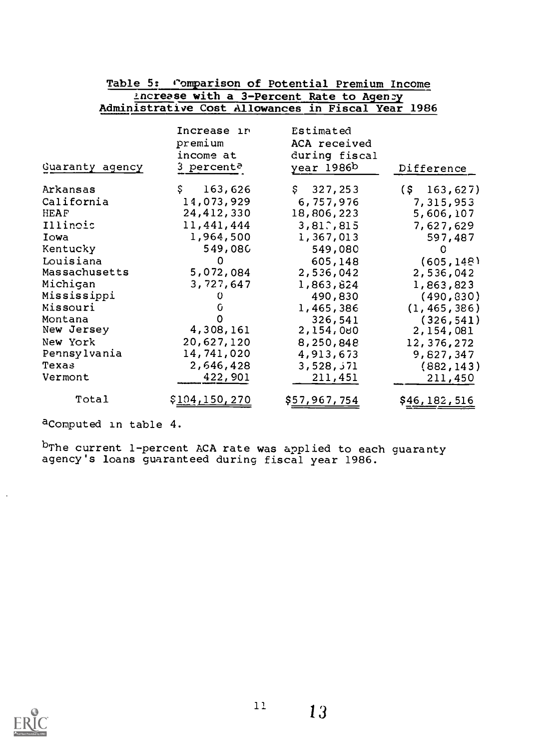| Table 5: Comparison of Potential Premium Income |                                                   |                                                          |                         |  |  |
|-------------------------------------------------|---------------------------------------------------|----------------------------------------------------------|-------------------------|--|--|
| Ancrease with a 3-Percent Rate to Agency        |                                                   |                                                          |                         |  |  |
|                                                 |                                                   | Administrative Cost Allowances in Fiscal Year 1986       |                         |  |  |
| Guaranty agency                                 | Increase in<br>premium<br>income at<br>3 percent? | Estimated<br>ACA received<br>during fiscal<br>year 1986b | Difference              |  |  |
| Arkansas                                        | \$.<br>163,626                                    | \$327, 253                                               | $(S \t163, 627)$        |  |  |
| California<br>HEAF                              | 14,073,929<br>24,412,330                          | 6,757,976<br>18,806,223                                  | 7,315,953<br>5,606,107  |  |  |
| Illinois                                        | 11,441,444                                        | 3,81.815                                                 | 7,627,629               |  |  |
| Iowa                                            | 1,964,500                                         | 1,367,013                                                | 597,487                 |  |  |
| Kentucky                                        | 549,080<br>0                                      | 549,080                                                  | $\Omega$                |  |  |
| Louisiana<br>Massachusetts                      | 5,072,084                                         | 605,148<br>2,536,042                                     | (605, 148)<br>2,536,042 |  |  |
| Michigan                                        | 3,727,647                                         | 1,863,824                                                | 1,863,823               |  |  |
| Mississippi                                     | 0                                                 | 490,830                                                  | (490, 830)              |  |  |
| Missouri                                        |                                                   | 1,465,386                                                | (1, 465, 386)           |  |  |
| Montana<br>Ne <b>w</b> Jersey                   | 4,308,161                                         | 326,541<br>2,154,080                                     | (326, 541)<br>2,154,081 |  |  |
| New York                                        | 20,627,120                                        | 8,250,848                                                | 12,376,272              |  |  |
| Pennsylvania                                    | 14,741,020                                        | 4,913,673                                                | 9,827,347               |  |  |
| Texas<br>Vermont                                | 2,646,428<br>422,901                              | 3,528,371<br>211,451                                     | (882, 143)<br>211,450   |  |  |
| Total                                           | \$ <u>10</u> 4,150,270                            | \$57,967,754                                             | \$46,182,516            |  |  |

aComputed in table 4.

<sup>D</sup>The current 1-percent ACA rate was applied to each guaranty agency's loans guaranteed during fiscal year 1986.

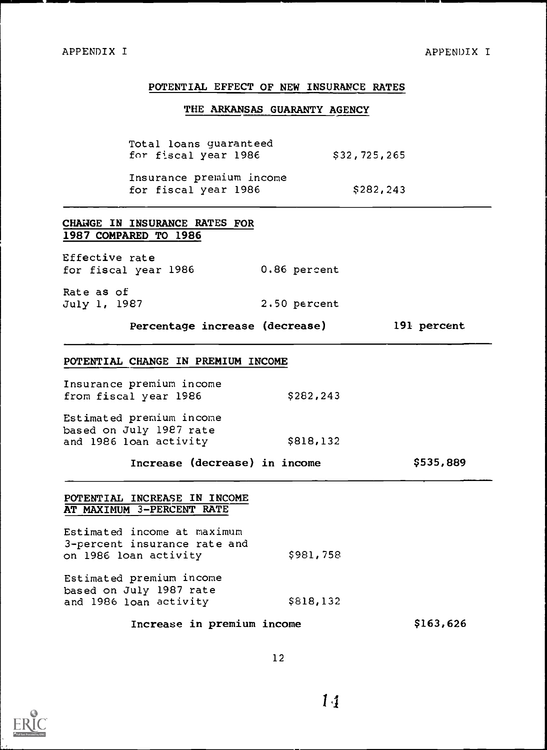## POTENTIAL EFFECT OF NEW INSURANCE RATES

## THE ARKANSAS GUARANTY AGENCY

Total loans guaranteed for fiscal year 1986 \$32,725,265

Insurance premium income for fiscal year  $1986$  \$282,243

## CHANGE IN INSURANCE RATES FOR 1987 COMPARED TO 1986

Effective rate for fiscal year 1986 0.86 percent

Rate as of July 1, 1987 2.50 percent

Percentage increase (decrease) 191 percent

#### POTENTIAL CHANGE IN PREMIUM INCOME

Insurance premium income from fiscal year  $1986$  \$282,243

Estimated premium income based on July 1987 rate and 1986 loan activity \$818,132

Increase (decrease) in income \$535,889

## POTENTIAL INCREASE IN INCOME AT MAXIMUM 3-PERCENT RATE

Estimated income at maximum 3-percent insurance rate and on 1986 loan activity \$981, 758

Estimated premium income based on July 1987 rate and 1986 loan activity \$818,132

Increase in premium income \$163,626

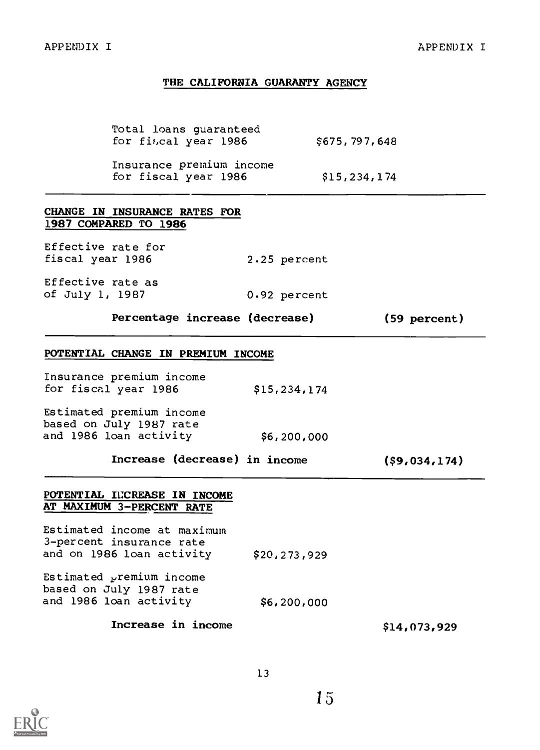## THE CALIFORNIA GUARANTY AGENCY

Total loans guaranteed for fiscal year 1986 Insurance premium income<br>
for fiscal year 1986 515,234,174 for fiscal year 1986

## CHANGE IN INSURANCE RATES FOR 1987 COMPARED TO 1986

Effective rate for fiscal year 1986 2.25 percent

Effective rate as of July 1, 1987 0.92 percent

Percentage increase (decrease) (59 percent)

#### POTENTIAL CHANGE IN PREMIUM INCOME

Insurance premium income for fiscal year 1986 \$15,234,174

Estimated premium income based on July 1987 rate and 1986 loan activity \$6,200,000

Increase (decrease) in income (\$9,034,174)

## POTENTIAL INCREASE IN INCOME AT MAXIMUM 3-PERCENT RATE

Estimated income at maximum 3-percent insurance rate and on 1986 loan activity \$20,273,929

Estimated  $y$ remium income based on July 1987 rate and 1986 loan activity

## Increase in income  $$14,073,929$



\$6,200,000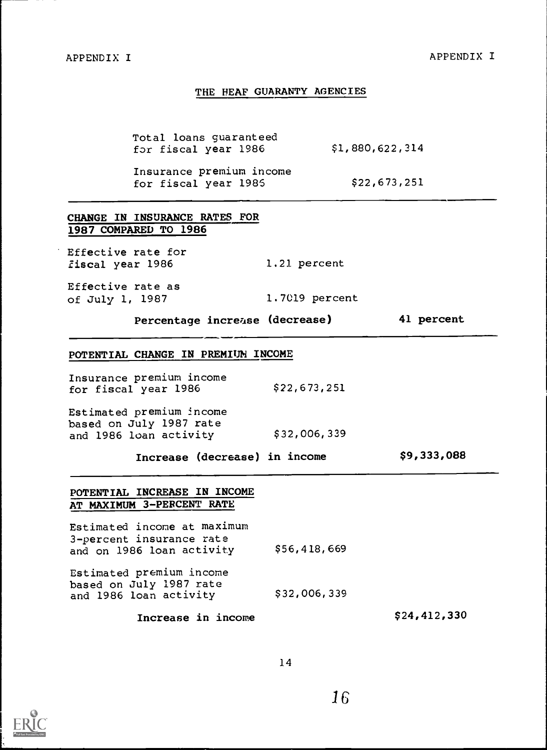#### THE HEAF GUARANTY AGENCIES

Total loans guaranteed<br>for fiscal year 1986 51,880,622,314 for fiscal year 1986

Insurance premium income<br>
for fiscal vear 1985 622,673,251 for fiscal year 1985

| CHANGE IN INSURANCE RATES FOR<br>1987 COMPARED TO 1986 |                |            |
|--------------------------------------------------------|----------------|------------|
| Effective rate for<br>fiscal year 1986                 | 1.21 percent   |            |
| Effective rate as<br>of July 1, 1987                   | 1.7019 percent |            |
| Percentage increase (decrease)                         |                | 41 percent |
| POTENTIAL CHANGE IN PREMIUM INCOME                     |                |            |
| Insurance premium income<br>for fiscal year 1986       | \$22,673,251   |            |
| Estimated premium income                               |                |            |

based on July 1987 rate and 1986 loan activity \$32,006,339

Increase (decrease) in income \$9,333,088

## POTENTIAL INCREASE IN INCOME AT MAXIMUM 3-PERCENT RATE

Estimated income at maximum 3-percent insurance rate and on 1986 loan activity Estimated premium income based on July 1987 rate and 1986 loan activity \$56,418,669 \$32,006, 339

Increase in income  $$24,412,330$ 

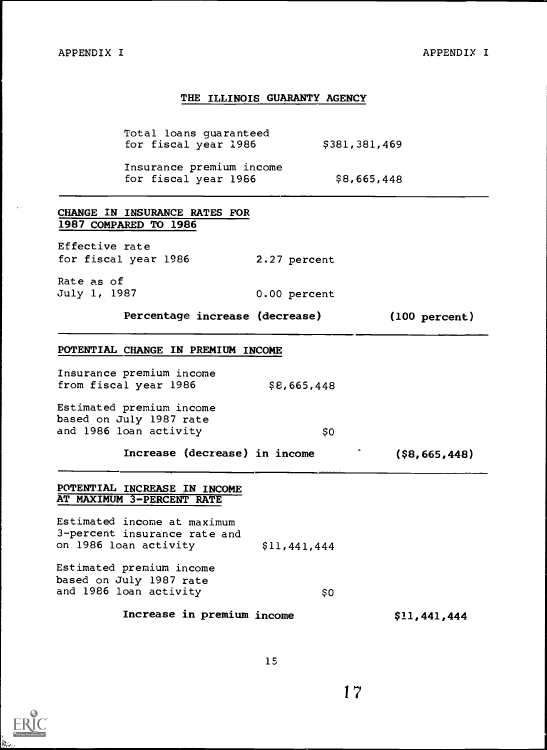## THE ILLINOIS GUARANTY AGENCY

Total loans guaranteed<br>
for fiscal year 1986 5381,381,469 for fiscal year 1986

Insurance premium income for fiscal year 1986 \$8,665,448

2.27 percent

0.00 percent

## CHANGE IN INSURANCE RATES FOR 1987 COMPARED TO 1986

Effective rate for fiscal year 1986

Rate as of July 1, 1987

Percentage increase (decrease) (100 percent)

## POTENTIAL CHANGE IN PREMIUM INCOME

Insurance premium income from fiscal year  $1986$  \$8,665,448

Estimated premium income based on July 1987 rate and 1986 loan activity 60

Increase (decrease) in income (\$8,665,448)

#### POTENTIAL INCREASE IN INCOME AT MAXIMUM 3-PERCENT RATE

Estimated income at maximum 3-percent insurance rate and on 1986 loan activity \$11,441,444

Estimated premium income based on July 1987 rate and 1986 loan activity

\$0

## Increase in premium income \$11,441,444

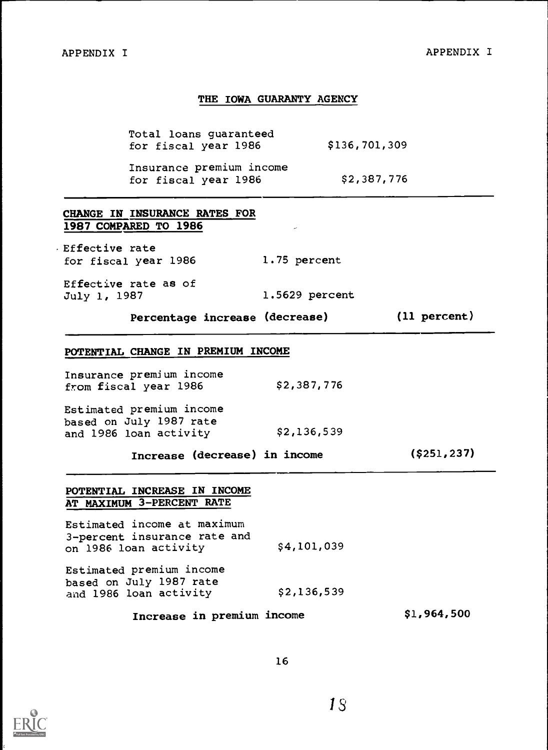## THE IOWA GUARANTY AGENCY

Total loans guaranteed<br>
for fiscal year 1986 5136,701,309 for fiscal year 1986

Insurance premium income<br>
for fiscal year 1986 62,387,776 for fiscal year 1986

## CHANGE IN INSURANCE RATES FOR 1987 COMPARED TO 1986

.Effective rate for fiscal year 1986 1.75 percent

Effective rate as of July 1, 1987 1.5629 percent

Percentage increase (decrease) (11 percent)

## POTENTIAL CHANGE IN PREMIUM INCOME

Insurance premium income<br>
from fiscal vear 1986 52,387,776 from fiscal year 1986

Estimated premium income based on July 1987 rate<br>and 1986 loan activity 52,136,539 and 1986 loan activity

Increase (decrease) in income (\$251,237)

## POTENTIAL INCREASE IN INCOME AT MAXIMUM 3-PERCENT RATE

Estimated income at maximum 3-percent insurance rate and on 1986 loan activity \$4,101,039

Estimated premium income based on July 1987 rate and 1986 loan activity \$2,136,539

Increase in premium income \$1,964,500

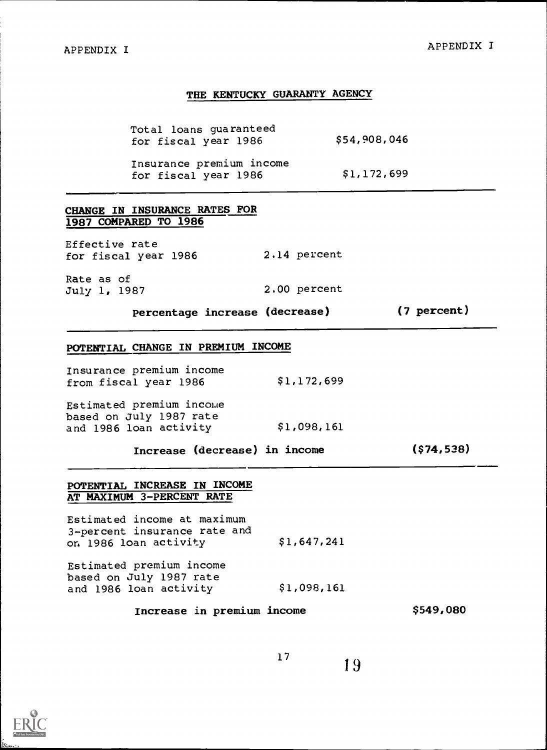#### THE KENTUCKY GUARANTY AGENCY

Total loans guaranteed<br>
for fiscal year 1986 654,908,046 for fiscal year 1986

Insurance premium income<br>
for fiscal vear 1986 51,172,699 for fiscal year 1986

## CHANGE IN INSURANCE RATES FOR 1987 COMPARED TO 1986

Effective rate for fiscal year 1986 2.14 percent

Rate as of July 1, 1987 2.00 percent

Percentage increase (decrease) (7 percent)

## POTENTIAL CHANGE IN PREMIUM INCOME

| Insurance premium income |             |
|--------------------------|-------------|
| from fiscal year 1986    | \$1,172,699 |

Estimated premium income based on July 1987 rate and 1986 loan activity \$1,098,161

Increase (decrease) in income (\$74,538)

## POTENTIAL INCREASE IN INCOME AT MAXIMUM 3-PERCENT RATE

Estimated income at maximum 3-percent insurance rate and on 1986 loan activity \$1,647,241

Estimated premium income based on July 1987 rate and 1986 loan activity \$1,098,161

Increase in premium income \$549,080

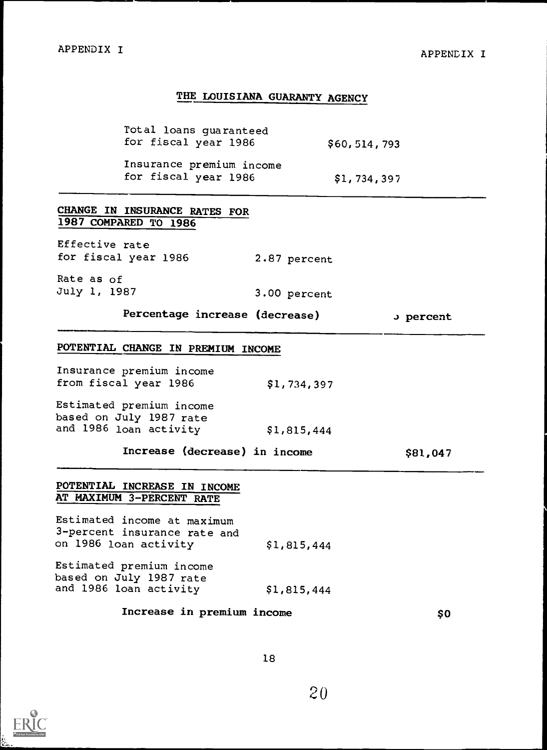## THE LOUISIANA GUARANTY AGENCY

Total loans guaranteed for fiscal year 1986 \$60,514,793 Insurance premium income

for fiscal year 1986 \$1,734,397

CHANGE IN INSURANCE RATES FOR 1987 COMPARED TO 1986

Effective rate for fiscal year 1986 2.87 percent

Rate as of July 1, 1987 3.00 percent

Percentage increase (decrease) J percent

## POTENTIAL CHANGE IN PREMIUM INCOME

| Insurance premium income<br>from fiscal year 1986  | \$1,734,397 |  |
|----------------------------------------------------|-------------|--|
| Estimated premium income<br>ated on July 1987 rate |             |  |

a on July 1987 rate and  $1986$  loan activity  $$1,815,444$ 

Increase (decrease) in income \$81,047

## POTENTIAL INCREASE IN INCOME AT MAXIMUM 3-PERCENT RATE

Estimated income at maximum 3-percent insurance rate and on 1986 loan activity \$1,815,444

Estimated premium income based on July 1987 rate and 1986 loan activity \$1,815,444

## Increase in premium income \$0

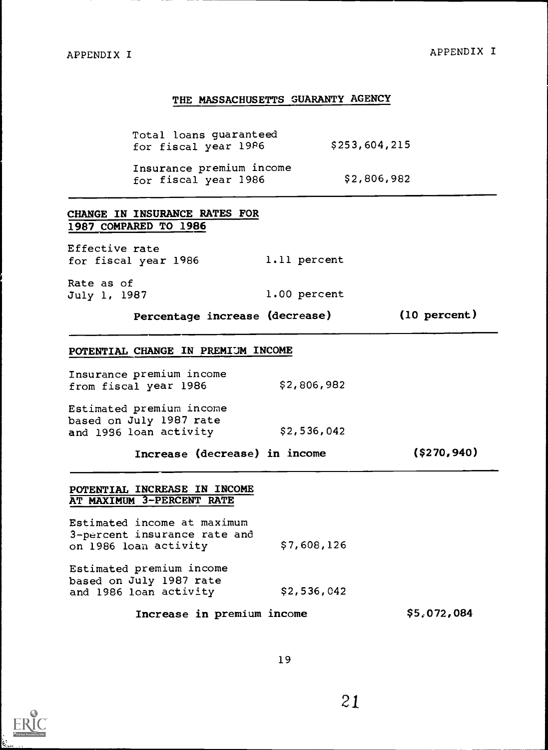## APPENDIX I

## THE MASSACHUSETTS GUARANTY AGENCY

Total loans guaranteed<br>for fiscal year 1986 6253,604,215 for fiscal year 1986

Insurance premium income<br>
for fiscal year 1986 52,806,982 for fiscal year  $1986$ 

## CHANGE IN INSURANCE RATES FOR 1987 COMPARED TO 1986

Effective rate for fiscal year 1986 1.11 percent

Rate as of July 1, 1987 1.00 percent

Percentage increase (decrease) (10 percent)

#### POTENTIAL CHANGE IN PREMIUM INCOME

Insurance premium income from fiscal year 1986

Estimated premium income based on July 1987 rate<br>and 1936 loan activity 52,536,042 and 1936 loan activity

Increase (decrease) in income (\$270,940)

## POTENTIAL INCREASE IN INCOME AT MAXIMUM 3-PERCENT RATE

Estimated income at maximum 3-percent insurance rate and on 1986 loan activity Estimated premium income based on July 1987 rate \$7,608,126

and 1986 loan activity \$2,536,042

Increase in premium income \$5,072,084

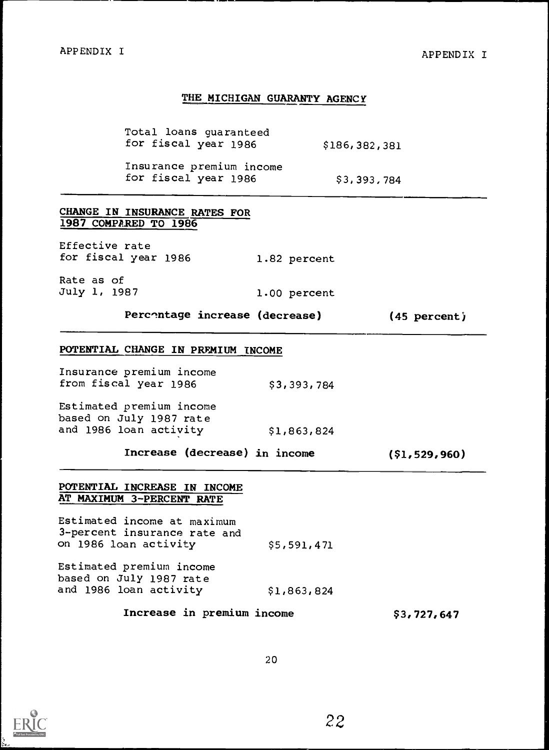## THE MICHIGAN GUARANTY AGENCY

Total loans guaranteed for fiscal year 1986 \$186,382,381

Insurance premium income for fiscal year 1986 \$3,393,784

1.00 percent

## CHANGE IN INSURANCE RATES FOR 1987 COMPARED TO 1986

Effective rate for fiscal year 1986 1.82 percent

Rate as of July 1, 1987

Percentage increase (decrease) (45 percent)

## POTENTIAL CHANGE IN PREMIUM INCOME

| Insurance premium income |             |
|--------------------------|-------------|
| from fiscal year 1986    | \$3,393,784 |
|                          |             |

Estimated premium income based on July 1987 rate and  $1986$  loan activity  $$1,863,824$ 

Increase (decrease) in income (\$1,529,960)

## POTENTIAL INCREASE IN INCOME AT MAXIMUM 3-PERCENT RATE

Estimated income at maximum 3-percent insurance rate and on 1986 loan activity \$5,591,471

Estimated premium income based on July 1987 rate and 1986 loan activity \$1,863, 824

Increase in premium income \$3,727,647

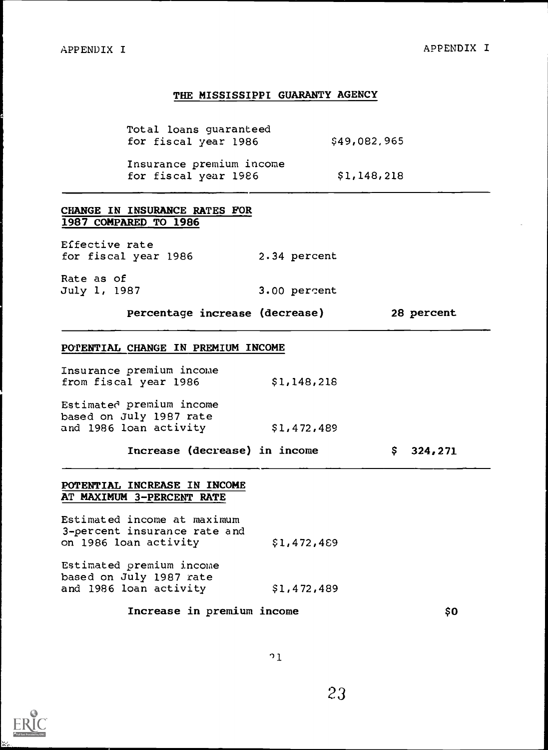## THE MISSISSIPPI GUARANTY AGENCY

Total loans guaranteed for fiscal year 1986 \$49,082,965

Insurance premium income for fiscal year 1986 \$1,148,218

## CHANGE IN INSURANCE RATES FOR 1987 COMPARED TO 1986

Effective rate for fiscal year 1986 2.34 percent

Rate as of July 1, 1987 3.00 percent

Percentage increase (decrease) 28 percent

## POTENTIAL CHANGE IN PREMIUM INCOME

| Insurance premium income            |             |  |
|-------------------------------------|-------------|--|
| from fiscal year 1986               | \$1,148,218 |  |
| $x_{n+1}$ ust $a_n$ neaming income. |             |  |

Estimated premium income based on July 1987 rate<br>and 1986 loan activity 51,472,489 and 1986 loan activity

Increase (decrease) in income \$ 324,271

## POTENTIAL INCREASE IN INCOME AT MAXIMUM 3-PERCENT RATE

Estimated income at maximum 3-percent insurance rate and on 1986 loan activity \$1,472,469

Estimated premium income based on July 1987 rate and 1986 loan activity \$1,472,489

## Increase in premium income  $$0$

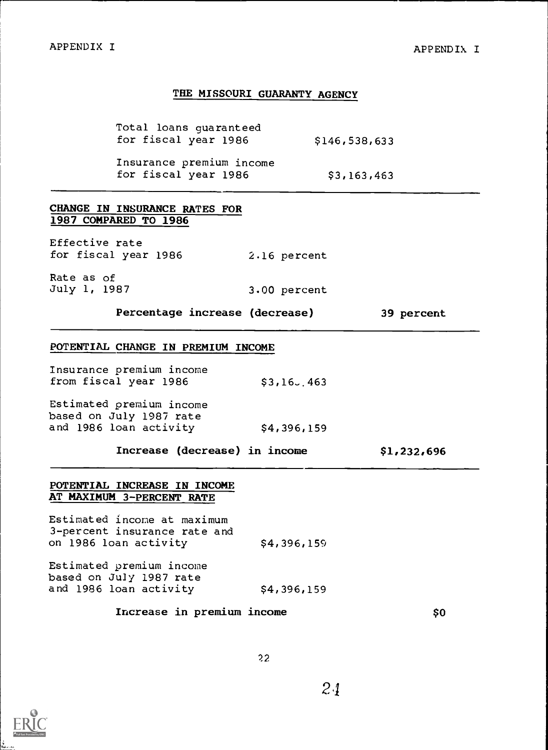### THE MISSOURI GUARANTY AGENCY

Total loans guaranteed for fiscal year 1986 \$146,538,633 Insurance premium income for fiscal year 1986 \$3,163,463

## CHANGE IN INSURANCE RATES FOR 1987 COMPARED TO 1986

Effective rate for fiscal year 1986 2.16 percent

Rate as of July 1, 1987

Percentage increase (decrease) 39 percent

#### POTENTIAL CHANGE IN PREMIUM INCOME

| Insurance premium income                                                                                            |               |  |
|---------------------------------------------------------------------------------------------------------------------|---------------|--|
| from fiscal year 1986                                                                                               | $$3,16$ , 463 |  |
| and the contract of the contract of the contract of the contract of the contract of the contract of the contract of |               |  |

Estimated premium income based on July 1987 rate and 1986 loan activity 54,396,159

Increase (decrease) in income \$1,232,696

\$4,396,159

3.00 percent

## POTENTIAL INCREASE IN INCOME AT MAXIMUM 3-PERCENT RATE

Estimated income at maximum 3-percent insurance rate and on 1986 loan activity

Estimated premium income based on July 1987 rate and 1986 loan activity \$4,396,159

## Increase in premium income  $\sim$  \$0

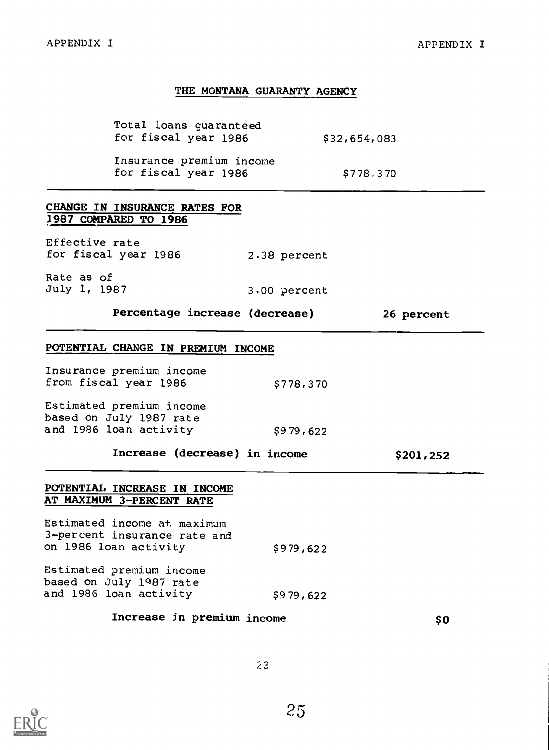## THE MONTANA GUARANTY AGENCY

| Total loans guaranteed<br>for fiscal year 1986<br>\$32,654,083                |                                                  |                |           |            |
|-------------------------------------------------------------------------------|--------------------------------------------------|----------------|-----------|------------|
|                                                                               | Insurance premium income<br>for fiscal year 1986 |                | \$778,370 |            |
| 1987 COMPARED TO 1986                                                         | CHANGE IN INSURANCE RATES FOR                    |                |           |            |
| Effective rate<br>for fiscal year 1986                                        |                                                  | 2.38 percent   |           |            |
| Rate as of<br>July 1, 1987                                                    |                                                  | $3.00$ percent |           |            |
|                                                                               | Percentage increase (decrease)                   |                |           | 26 percent |
|                                                                               | POTENTIAL CHANGE IN PREMIUM INCOME               |                |           |            |
| Insurance premium income<br>from fiscal year 1986                             |                                                  | \$778,370      |           |            |
| Estimated premium income<br>based on July 1987 rate<br>and 1986 loan activity |                                                  | \$979,622      |           |            |
|                                                                               | Increase (decrease) in income                    |                |           | \$201,252  |

## POTENTIAL INCREASE IN INCOME AT MAXIMUM 3-PERCENT RATE

Estimated income at maximum 3-percent insurance rate and on 1986 loan activity Estimated premium income based on July 1987 rate and 1986 loan activity \$979,622 \$979,622

Increase in premium income \$0

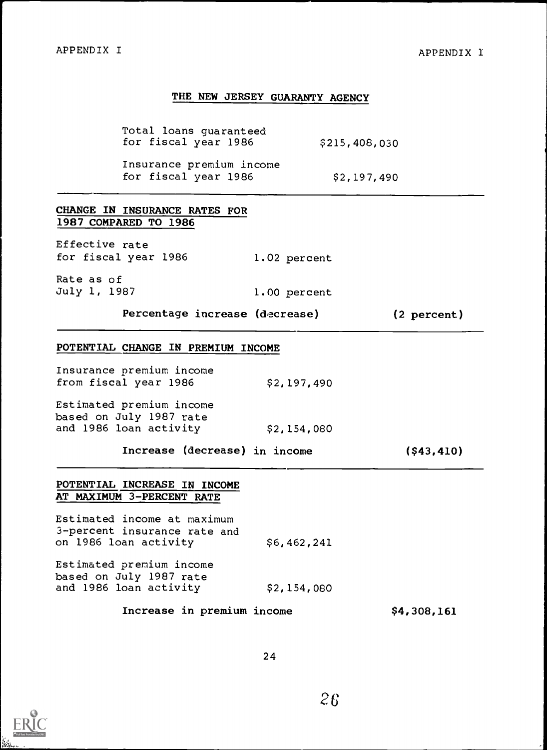## THE NEW JERSEY GUARANTY AGENCY

Total loans guaranteed for fiscal year 1986 \$215,408,030

Insurance premium income for fiscal year 1986 \$2,197,490

1.02 percent

1.00 percent

## CHANGE IN INSURANCE RATES FOR 1987 COMPARED TO 1986

Effective rate for fiscal year 1986

Rate as of July 1, 1987

Percentage increase (decrease) (2 percent)

## POTENTIAL CHANGE IN PREMIUM INCOME

| Insurance premium income<br>from fiscal year 1986   | \$2,197,490 |  |
|-----------------------------------------------------|-------------|--|
| Estimated premium income<br>based on July 1987 rate |             |  |
| and 1986 loan activity                              | \$2,154,080 |  |

Increase (decrease) in income (\$43,410)

## POTENTIAL INCREASE IN INCOME AT MAXIMUM 3-PERCENT RATE

Estimated income at maximum 3-percent insurance rate and on 1986 loan activity \$6,462,241

Estimated premium income based on July 1987 rate and 1986 loan activity \$2, 154, 080

Increase in premium income \$4,308,161

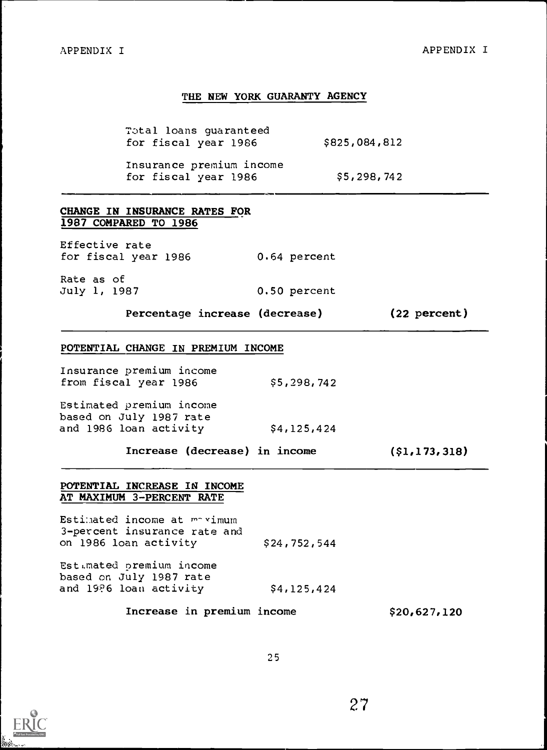## THE NEW YORK GUARANTY AGENCY

T3tal loans guaranteed for fiscal year 1986 \$825,084,812

Insurance premium income for fiscal year 1986 \$5,298,742

0.50 percent

## CHANGE IN INSURANCE RATES FOR 1987 COMPARED TO 1986

Effective rate for fiscal year 1986 0.64 percent

Rate as of July 1, 1987

Percentage increase (decrease) (22 percent)

#### POTENTIAL CHANGE IN PREMIUM INCOME

| Insurance premium income<br>from fiscal year 1986                     | \$5,298,742 |  |
|-----------------------------------------------------------------------|-------------|--|
| Estimated premium income<br>$h = h + h$ and $\tau_{11}$ , $h = h + h$ |             |  |

based on July 1987 rate<br>and 1986 loan activity \$4,125,424 and 1986 loan activity

Increase (decrease) in income (\$1,173,318)

## POTENTIAL INCREASE IN INCOME AT MAXIMUM 3-PERCENT RATE

Estimated income at  $m \sim \gamma$ imum 3-percent insurance rate and on 1986 loan activity \$24,752,544

Estimated premium income based on July 1987 rate and 1996 loan activity \$4,125,424

Increase in premium income \$20,627,120

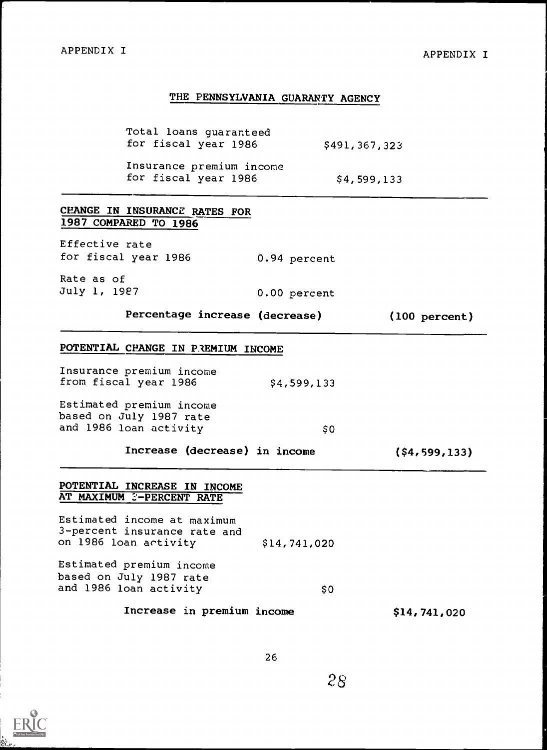# THE PENNSYLVANIA GUARANTY AGENCY

| Total loans guaranteed<br>for fiscal year 1986                                       |              | \$491,367,323    |
|--------------------------------------------------------------------------------------|--------------|------------------|
| Insurance premium income<br>for fiscal year 1986                                     |              | \$4,599,133      |
| CHANGE IN INSURANCE RATES FOR<br>1987 COMPARED TO 1986                               |              |                  |
| Effective rate<br>for fiscal year 1986                                               | 0.94 percent |                  |
| Rate as of<br>July 1, 1987                                                           | 0.00 percent |                  |
| Percentage increase (decrease)                                                       |              | (100 percent)    |
| POTENTIAL CHANGE IN PREMIUM INCOME                                                   |              |                  |
| Insurance premium income<br>from fiscal year 1986                                    | \$4,599,133  |                  |
| Estimated premium income<br>based on July 1987 rate<br>and 1986 loan activity        | \$0          |                  |
| Increase (decrease) in income                                                        |              | $($ \$4,599,133) |
| POTENTIAL INCREASE IN INCOME<br>AT MAXIMUM 3-PERCENT RATE                            |              |                  |
| Estimated income at maximum<br>3-percent insurance rate and<br>on 1986 loan activity | \$14,741,020 |                  |
| Estimated premium income<br>based on July 1987 rate<br>and 1986 loan activity        | \$0          |                  |
| Increase in premium income                                                           |              | \$14,741,020     |



았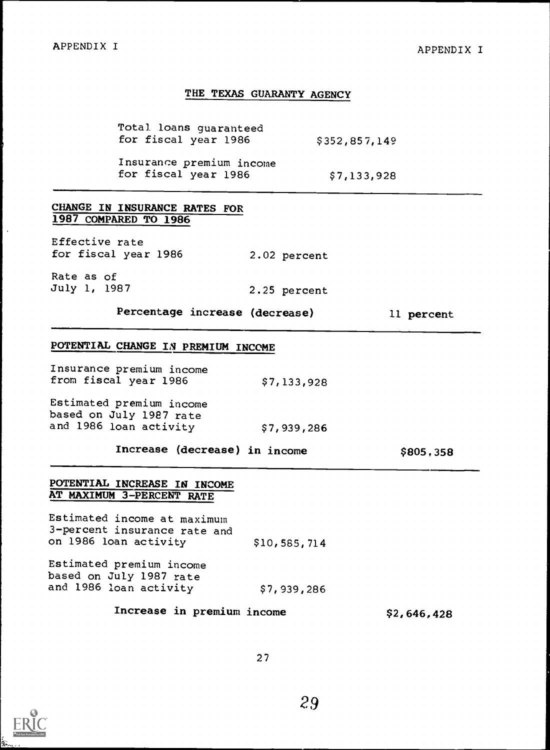### THE TEXAS GUARANTY AGENCY

Total loans guaranteed for fiscal year 1986 \$352,857,149

Insurance premium income for fiscal year  $1986$  \$7,133,928

2.25 percent

## CHANGE IN INSURANCE RATES FOR 1987 COMPARED TO 1986

Effective rate for fiscal year 1986 2.02 percent

Rate as of July 1, 1987

Percentage increase (decrease) 11 percent

## POTENTIAL CHANGE IN PREMIUM INCOME

| Insurance premium income<br>from fiscal year 1986   | \$7,133,928 |  |
|-----------------------------------------------------|-------------|--|
| Estimated premium income<br>based on July 1987 rate |             |  |
| and 1986 loan activity                              | \$7,939,286 |  |

Increase (decrease) in income \$805,358

## POTENTIAL INCREASE IN INCOME AT MAXIMUM 3-PERCENT RATE

Estimated income at maximum 3-percent insurance rate and on 1986 loan activity \$10,585,714

Estimated premium income based on July 1987 rate and 1986 loan activity

\$7,939,286

Increase in premium income \$2,646,428

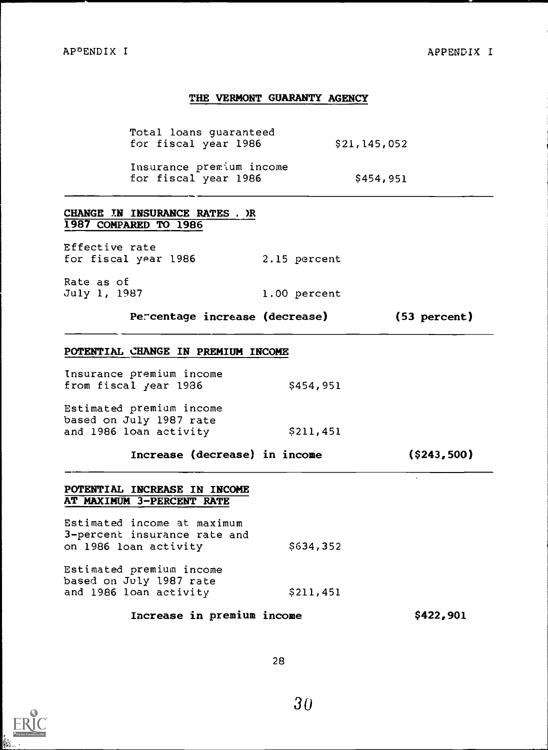## THE VERMONT GUARANTY AGENCY

Total loans guaranteed for fiscal year 1986

Insurance prem'ium income for fiscal year  $1986$  \$454,951

## CHANGE TN INSURANCE RATES , )R 1987 COMPARED TO 1986

Effective rate for fiscal year 1986 2.15 percent

Rate as of<br>July 1, 1987 1.00 percent

Percentage increase (decrease) (53 percent)

#### POTENTIAL CHANGE IN PREMIUM INCOME

| from fiscal year 1986<br>\$454,951 | Insurance premium income |  |
|------------------------------------|--------------------------|--|
|                                    |                          |  |

Estimated premium income based on July 1987 rate and 1986 loan activity \$211,451

Increase (decrease) in income (\$243,500)

## POTENTIAL INCREASE IN INCOME AT MAXIMUM 3-PERCENT RATE

Estimated income at maximum 3-percent insurance rate and on 1986 loan activity \$634,352

Estimated premium income based on July 1987 rate and 1986 loan activity \$211,451

## Increase in premium income \$422,901

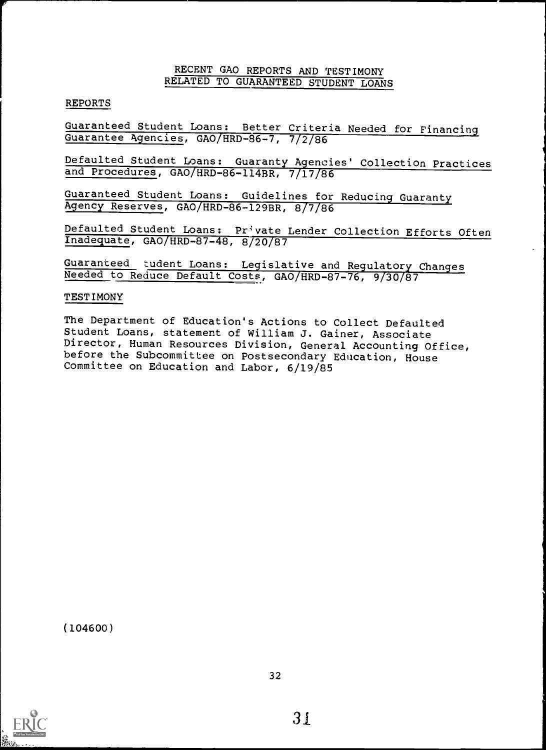## RECENT GAO REPORTS AND TESTIMONY RELATED TO GUARANTEED STUDENT LOANS

## REPORTS

Guaranteed Student Loans: Better Criteria Needed for Financing Guarantee Agencies, GAO/HRD-86-7, 7/2/86

Defaulted Student Loans: Guaranty Agencies' Collection Practices and Procedures, GAO/HRD-86-114BR, 7/17/86

Guaranteed Student Loans: Guidelines for Reducing Guaranty Agency Reserves, GAO/HRD-86-129BR, 8/7/86

Defaulted Student Loans: Private Lender Collection Efforts Often Inadequate, GAO/HRD-87-48, 8/20787

Guaranteed tudent Loans: Legislative and Regulatory Changes Needed to Reduce Default Costs, GAO/HRD-87-76, 9/30/87

## TESTIMONY

The Department of Education's Actions to Collect Defaulted Student Loans, statement of William J. Gainer, Associate Director, Human Resources Division, General Accounting Office, before the Subcommittee on Postsecondary Education, House Committee on Education and Labor, 6/19/85

(104600)